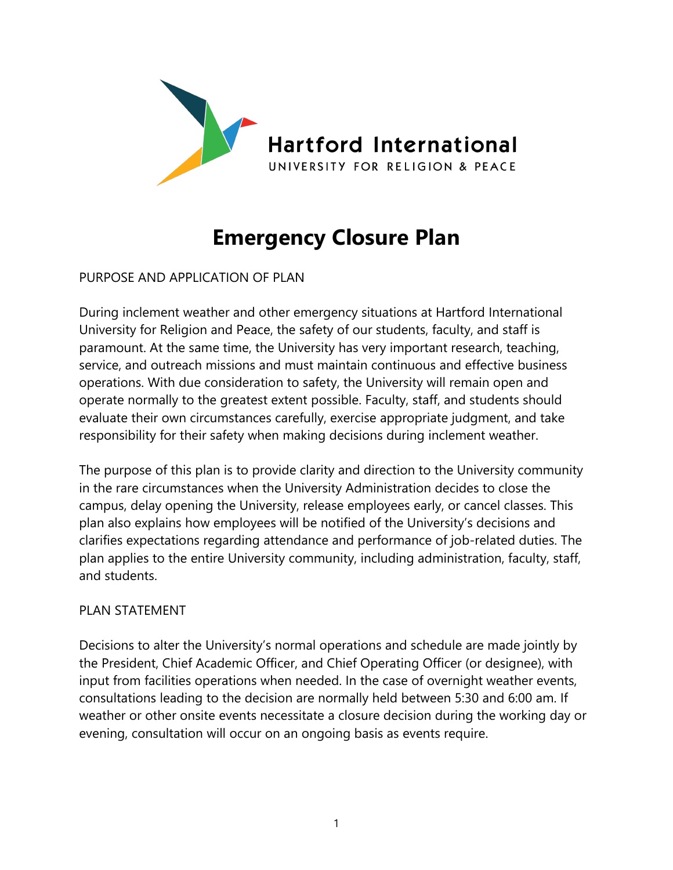

# **Emergency Closure Plan**

PURPOSE AND APPLICATION OF PLAN

During inclement weather and other emergency situations at Hartford International University for Religion and Peace, the safety of our students, faculty, and staff is paramount. At the same time, the University has very important research, teaching, service, and outreach missions and must maintain continuous and effective business operations. With due consideration to safety, the University will remain open and operate normally to the greatest extent possible. Faculty, staff, and students should evaluate their own circumstances carefully, exercise appropriate judgment, and take responsibility for their safety when making decisions during inclement weather.

The purpose of this plan is to provide clarity and direction to the University community in the rare circumstances when the University Administration decides to close the campus, delay opening the University, release employees early, or cancel classes. This plan also explains how employees will be notified of the University's decisions and clarifies expectations regarding attendance and performance of job-related duties. The plan applies to the entire University community, including administration, faculty, staff, and students.

#### PLAN STATEMENT

Decisions to alter the University's normal operations and schedule are made jointly by the President, Chief Academic Officer, and Chief Operating Officer (or designee), with input from facilities operations when needed. In the case of overnight weather events, consultations leading to the decision are normally held between 5:30 and 6:00 am. If weather or other onsite events necessitate a closure decision during the working day or evening, consultation will occur on an ongoing basis as events require.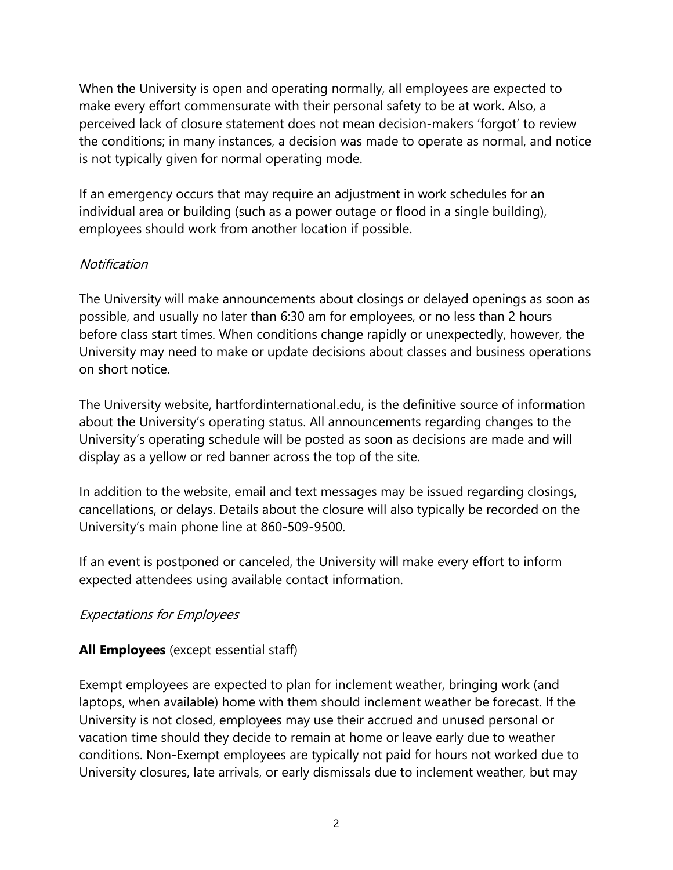When the University is open and operating normally, all employees are expected to make every effort commensurate with their personal safety to be at work. Also, a perceived lack of closure statement does not mean decision-makers 'forgot' to review the conditions; in many instances, a decision was made to operate as normal, and notice is not typically given for normal operating mode.

If an emergency occurs that may require an adjustment in work schedules for an individual area or building (such as a power outage or flood in a single building), employees should work from another location if possible.

#### **Notification**

The University will make announcements about closings or delayed openings as soon as possible, and usually no later than 6:30 am for employees, or no less than 2 hours before class start times. When conditions change rapidly or unexpectedly, however, the University may need to make or update decisions about classes and business operations on short notice.

The University website, hartfordinternational.edu, is the definitive source of information about the University's operating status. All announcements regarding changes to the University's operating schedule will be posted as soon as decisions are made and will display as a yellow or red banner across the top of the site.

In addition to the website, email and text messages may be issued regarding closings, cancellations, or delays. Details about the closure will also typically be recorded on the University's main phone line at 860-509-9500.

If an event is postponed or canceled, the University will make every effort to inform expected attendees using available contact information.

# Expectations for Employees

# **All Employees** (except essential staff)

Exempt employees are expected to plan for inclement weather, bringing work (and laptops, when available) home with them should inclement weather be forecast. If the University is not closed, employees may use their accrued and unused personal or vacation time should they decide to remain at home or leave early due to weather conditions. Non-Exempt employees are typically not paid for hours not worked due to University closures, late arrivals, or early dismissals due to inclement weather, but may